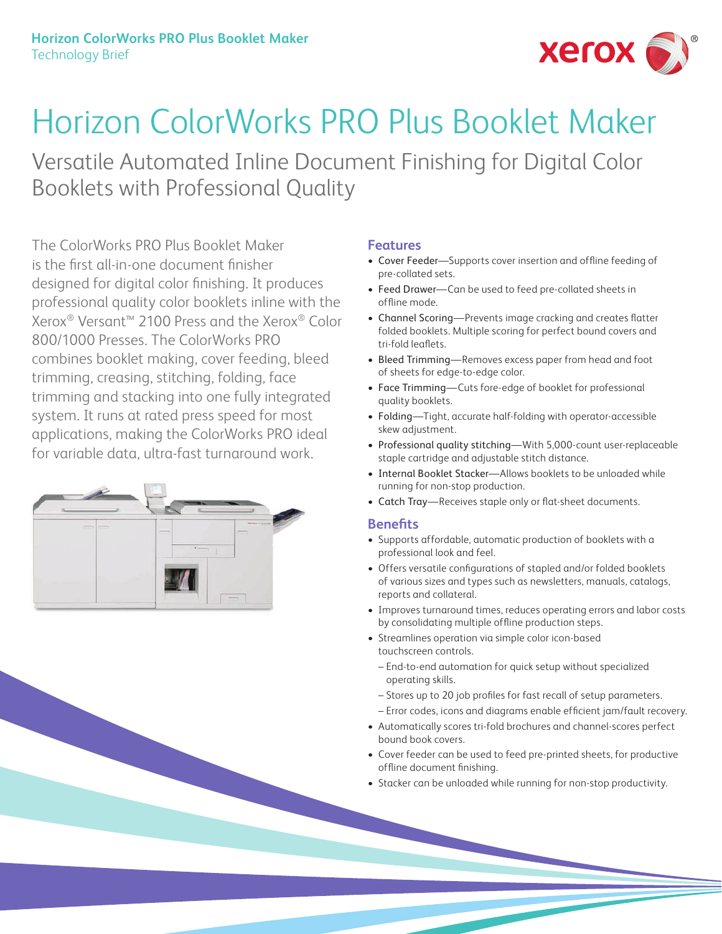

# Horizon ColorWorks PRO Plus Booklet Maker

Versatile Automated Inline Document Finishing for Digital Color Booklets with Professional Quality

The ColorWorks PRO Plus Booklet Maker is the first all-in-one document finisher designed for digital color finishing. It produces professional quality color booklets inline with the Xerox® Versant™ 2100 Press and the Xerox® Color 800/1000 Presses. The ColorWorks PRO combines booklet making, cover feeding, bleed trimming, creasing, stitching, folding, face trimming and stacking into one fully integrated system. It runs at rated press speed for most applications, making the ColorWorks PRO ideal for variable data, ultra-fast turnaround work.



## **Features**

- Cover Feeder—Supports cover insertion and offline feeding of pre-collated sets.
- Feed Drawer—Can be used to feed pre-collated sheets in offline mode.
- Channel Scoring—Prevents image cracking and creates flatter folded booklets. Multiple scoring for perfect bound covers and tri-fold leaflets.
- Bleed Trimming—Removes excess paper from head and foot of sheets for edge-to-edge color.
- Face Trimming—Cuts fore-edge of booklet for professional quality booklets.
- Folding—Tight, accurate half-folding with operator-accessible skew adjustment.
- Professional quality stitching—With 5,000-count user-replaceable staple cartridge and adjustable stitch distance.
- Internal Booklet Stacker—Allows booklets to be unloaded while running for non-stop production.
- Catch Tray—Receives staple only or flat-sheet documents.

#### **Benefits**

- Supports affordable, automatic production of booklets with a professional look and feel.
- Offers versatile configurations of stapled and/or folded booklets of various sizes and types such as newsletters, manuals, catalogs, reports and collateral.
- Improves turnaround times, reduces operating errors and labor costs by consolidating multiple offline production steps.
- Streamlines operation via simple color icon-based touchscreen controls.
	- End-to-end automation for quick setup without specialized operating skills.
	- Stores up to 20 job profiles for fast recall of setup parameters.
	- Error codes, icons and diagrams enable efficient jam/fault recovery.
- Automatically scores tri-fold brochures and channel-scores perfect bound book covers.
- Cover feeder can be used to feed pre-printed sheets, for productive offline document finishing.
- Stacker can be unloaded while running for non-stop productivity.